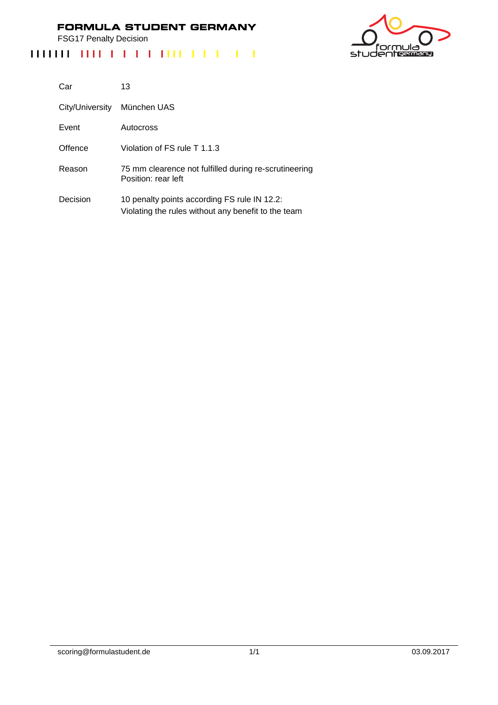FSG17 Penalty Decision



| Car             | 13                                                                                                  |
|-----------------|-----------------------------------------------------------------------------------------------------|
| City/University | München UAS                                                                                         |
| Event           | Autocross                                                                                           |
| Offence         | Violation of FS rule T 1.1.3                                                                        |
| Reason          | 75 mm clearence not fulfilled during re-scrutineering<br>Position: rear left                        |
| Decision        | 10 penalty points according FS rule IN 12.2:<br>Violating the rules without any benefit to the team |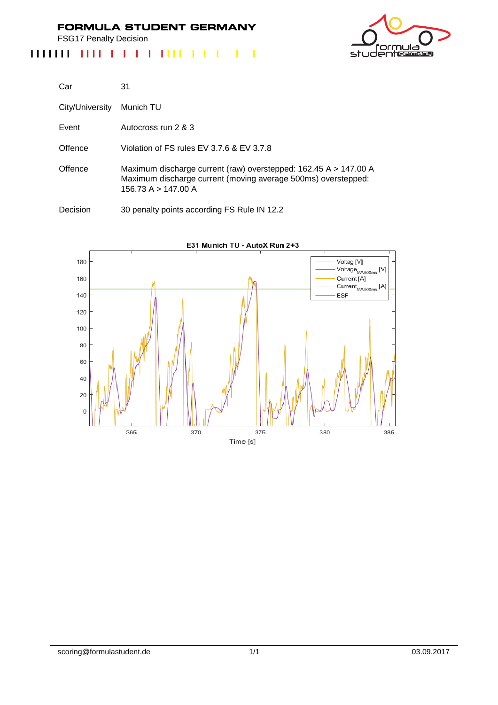FSG17 Penalty Decision

#### 1111111 1111 1 1 1 1 1 1 1 1 1 1 1 1 1  $\mathbb{R}^2$  $\mathbf{I}$  $\mathbf{I}$



| Car             | 31                                                                                                                                                       |
|-----------------|----------------------------------------------------------------------------------------------------------------------------------------------------------|
| City/University | Munich TU                                                                                                                                                |
| Event           | Autocross run 2 & 3                                                                                                                                      |
| Offence         | Violation of FS rules EV 3.7.6 & EV 3.7.8                                                                                                                |
| Offence         | Maximum discharge current (raw) overstepped: 162.45 A > 147.00 A<br>Maximum discharge current (moving average 500ms) overstepped:<br>156.73 A > 147.00 A |
| Decision        | 30 penalty points according FS Rule IN 12.2                                                                                                              |



scoring@formulastudent.de 1/1 03.09.2017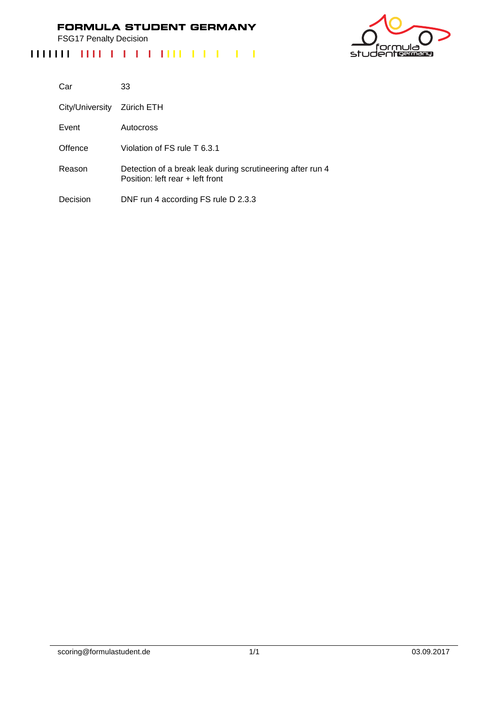FSG17 Penalty Decision



| Car             | 33                                                                                             |
|-----------------|------------------------------------------------------------------------------------------------|
| City/University | Zürich ETH                                                                                     |
| Event           | Autocross                                                                                      |
| Offence         | Violation of FS rule T 6.3.1                                                                   |
| Reason          | Detection of a break leak during scrutineering after run 4<br>Position: left rear + left front |
| Decision        | DNF run 4 according FS rule D 2.3.3                                                            |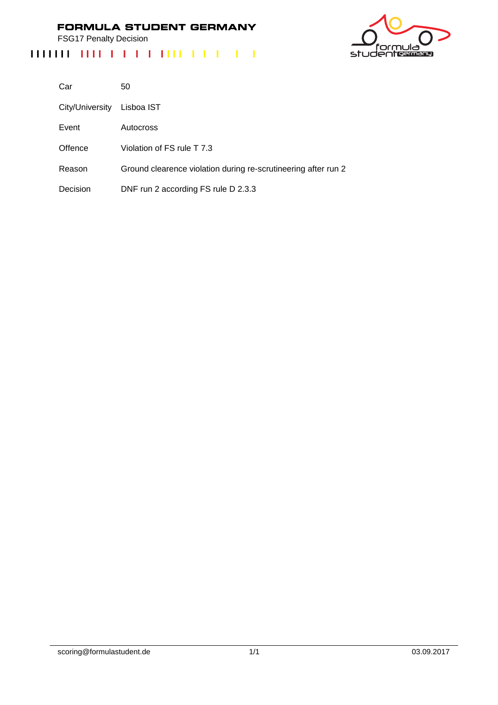FSG17 Penalty Decision

## ەار nı studentermang

| Car             | 50                                                             |
|-----------------|----------------------------------------------------------------|
| City/University | Lisboa IST                                                     |
| Event           | Autocross                                                      |
| Offence         | Violation of FS rule T 7.3                                     |
| Reason          | Ground clearence violation during re-scrutineering after run 2 |
| Decision        | DNF run 2 according FS rule D 2.3.3                            |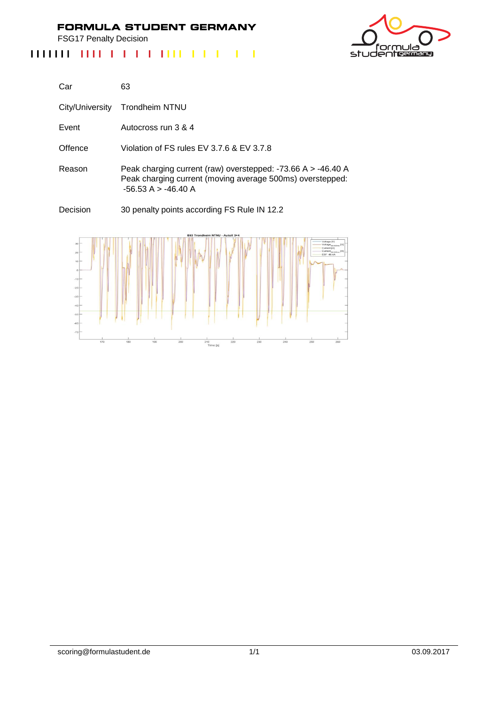FSG17 Penalty Decision



| Car             | 63                                                                                                                                                 |
|-----------------|----------------------------------------------------------------------------------------------------------------------------------------------------|
| City/University | Trondheim NTNU                                                                                                                                     |
| Event           | Autocross run 3 & 4                                                                                                                                |
| Offence         | Violation of FS rules EV 3.7.6 & EV 3.7.8                                                                                                          |
| Reason          | Peak charging current (raw) overstepped: -73.66 A > -46.40 A<br>Peak charging current (moving average 500ms) overstepped:<br>$-56.53 A > -46.40 A$ |
| Decision        | 30 penalty points according FS Rule IN 12.2                                                                                                        |

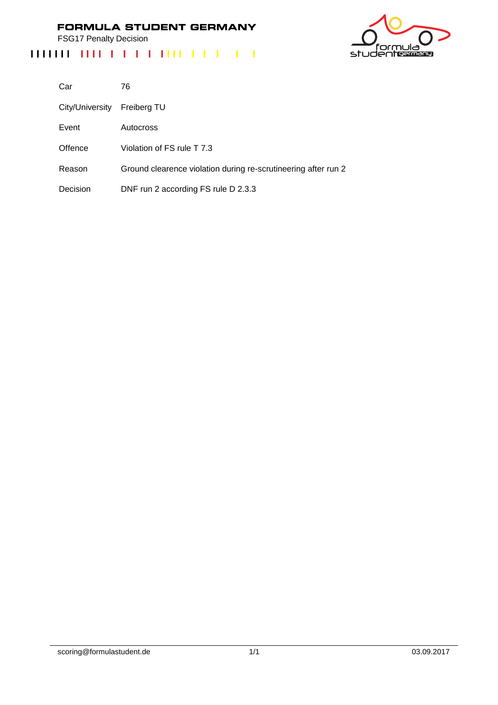FSG17 Penalty Decision

## ەار nι studentermang

| Car             | 76                                                             |
|-----------------|----------------------------------------------------------------|
| City/University | Freiberg TU                                                    |
| Event           | Autocross                                                      |
| Offence         | Violation of FS rule T 7.3                                     |
| Reason          | Ground clearence violation during re-scrutineering after run 2 |
| Decision        | DNF run 2 according FS rule D 2.3.3                            |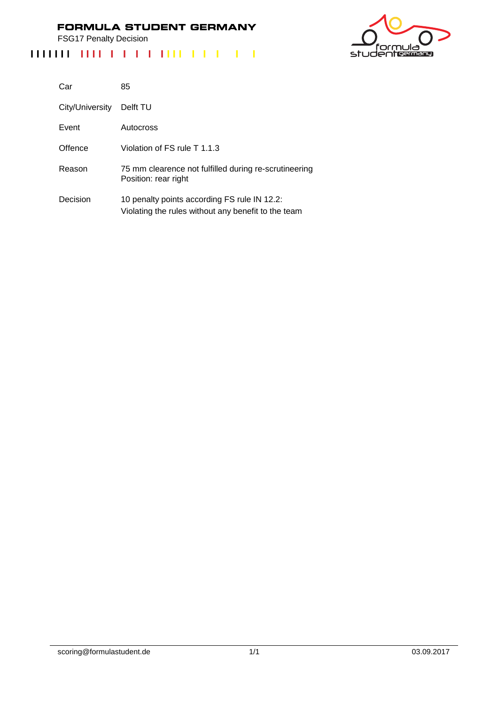FSG17 Penalty Decision



| Car             | 85                                                                                                  |
|-----------------|-----------------------------------------------------------------------------------------------------|
| City/University | Delft TU                                                                                            |
| Event           | Autocross                                                                                           |
| Offence         | Violation of FS rule T 1.1.3                                                                        |
| Reason          | 75 mm clearence not fulfilled during re-scrutineering<br>Position: rear right                       |
| Decision        | 10 penalty points according FS rule IN 12.2:<br>Violating the rules without any benefit to the team |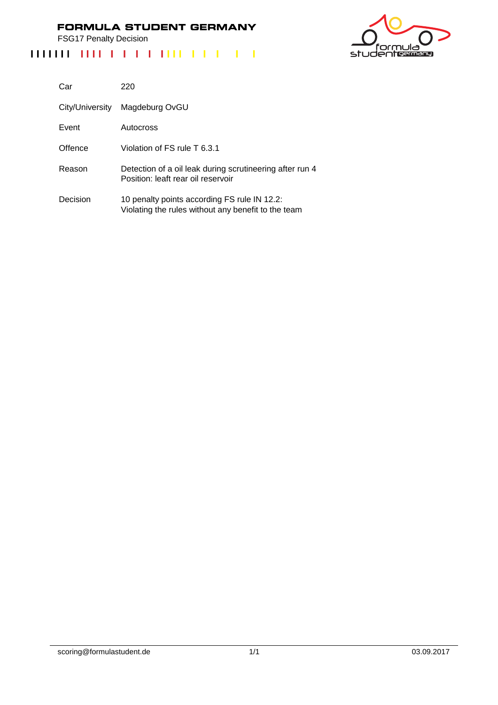FSG17 Penalty Decision



| Car             | 220                                                                                                 |
|-----------------|-----------------------------------------------------------------------------------------------------|
| City/University | Magdeburg OvGU                                                                                      |
| Event           | Autocross                                                                                           |
| Offence         | Violation of FS rule T 6.3.1                                                                        |
| Reason          | Detection of a oil leak during scrutineering after run 4<br>Position: leaft rear oil reservoir      |
| Decision        | 10 penalty points according FS rule IN 12.2:<br>Violating the rules without any benefit to the team |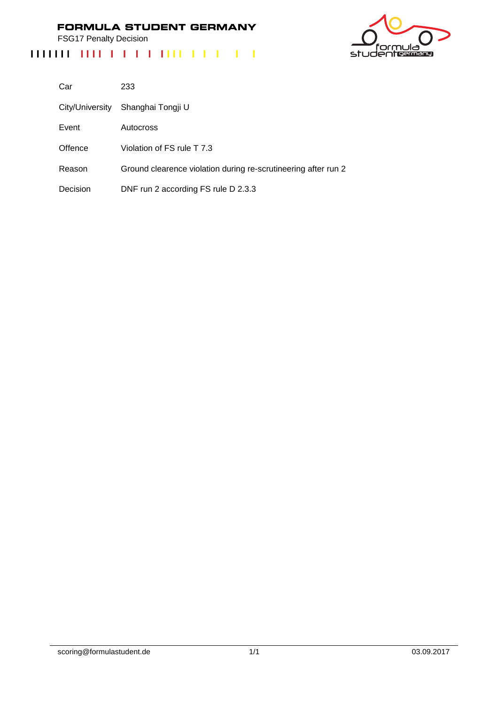FSG17 Penalty Decision



| Car             | 233                                                            |
|-----------------|----------------------------------------------------------------|
| City/University | Shanghai Tongji U                                              |
| Event           | Autocross                                                      |
| Offence         | Violation of FS rule T 7.3                                     |
| Reason          | Ground clearence violation during re-scrutineering after run 2 |
| Decision        | DNF run 2 according FS rule D 2.3.3                            |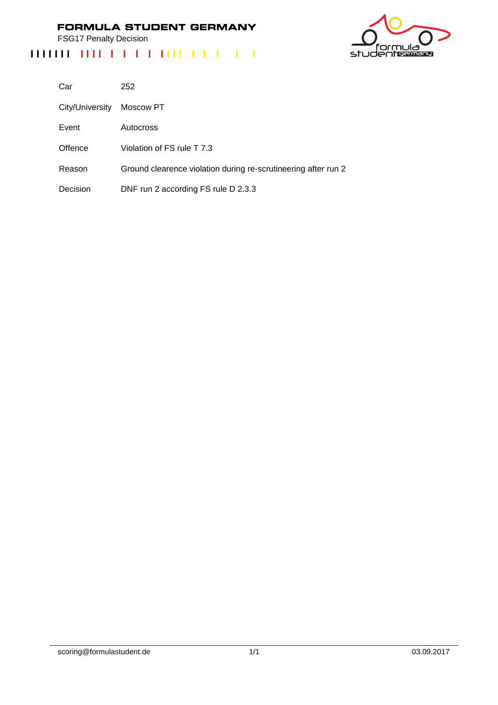FSG17 Penalty Decision

## studentes

| Car             | 252                                                            |
|-----------------|----------------------------------------------------------------|
| City/University | Moscow PT                                                      |
| Event           | Autocross                                                      |
| Offence         | Violation of FS rule T 7.3                                     |
| Reason          | Ground clearence violation during re-scrutineering after run 2 |
| Decision        | DNF run 2 according FS rule D 2.3.3                            |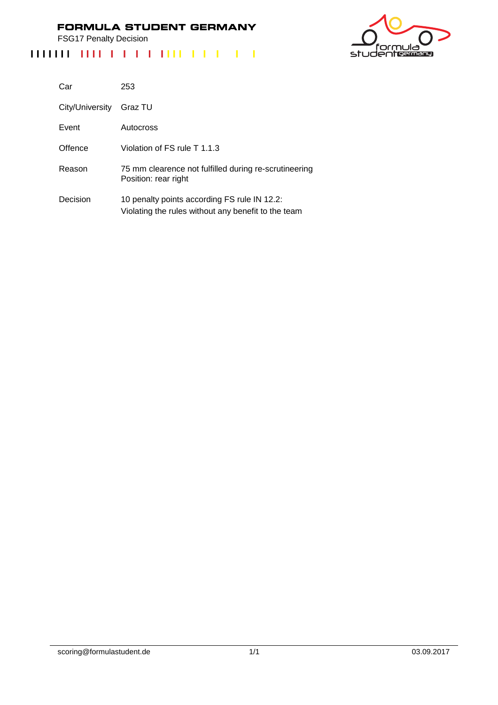FSG17 Penalty Decision



| Car             | 253                                                                                                 |
|-----------------|-----------------------------------------------------------------------------------------------------|
| City/University | Graz TU                                                                                             |
| Event           | Autocross                                                                                           |
| Offence         | Violation of FS rule T 1.1.3                                                                        |
| Reason          | 75 mm clearence not fulfilled during re-scrutineering<br>Position: rear right                       |
| Decision        | 10 penalty points according FS rule IN 12.2:<br>Violating the rules without any benefit to the team |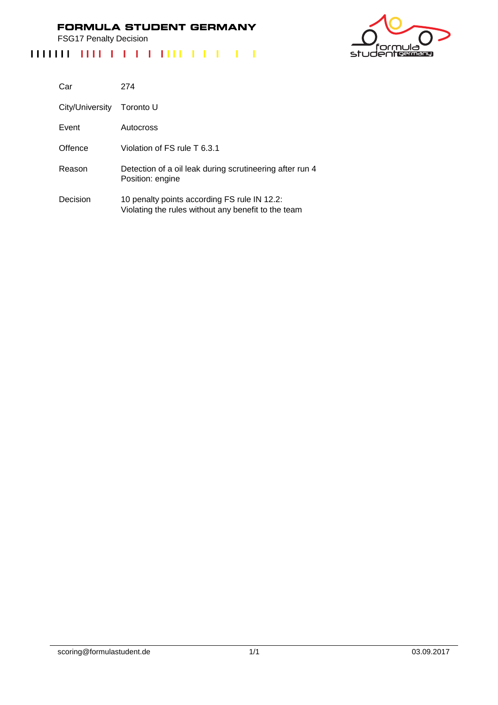FSG17 Penalty Decision

# studentermen

| Car             | 274                                                                                                 |
|-----------------|-----------------------------------------------------------------------------------------------------|
| City/University | Toronto U                                                                                           |
| Event           | Autocross                                                                                           |
| Offence         | Violation of FS rule T 6.3.1                                                                        |
| Reason          | Detection of a oil leak during scrutineering after run 4<br>Position: engine                        |
| Decision        | 10 penalty points according FS rule IN 12.2:<br>Violating the rules without any benefit to the team |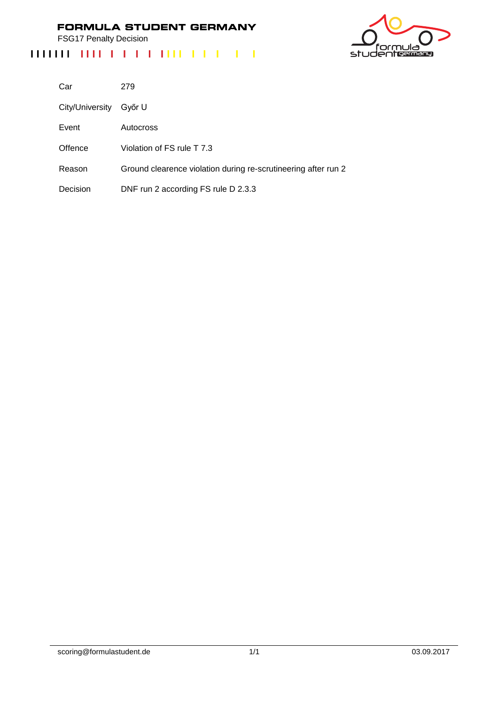FSG17 Penalty Decision

## ەار 'nι studentermang

| Car             | 279                                                            |
|-----------------|----------------------------------------------------------------|
| City/University | Győr U                                                         |
| Event           | Autocross                                                      |
| Offence         | Violation of FS rule T 7.3                                     |
| Reason          | Ground clearence violation during re-scrutineering after run 2 |
| Decision        | DNF run 2 according FS rule D 2.3.3                            |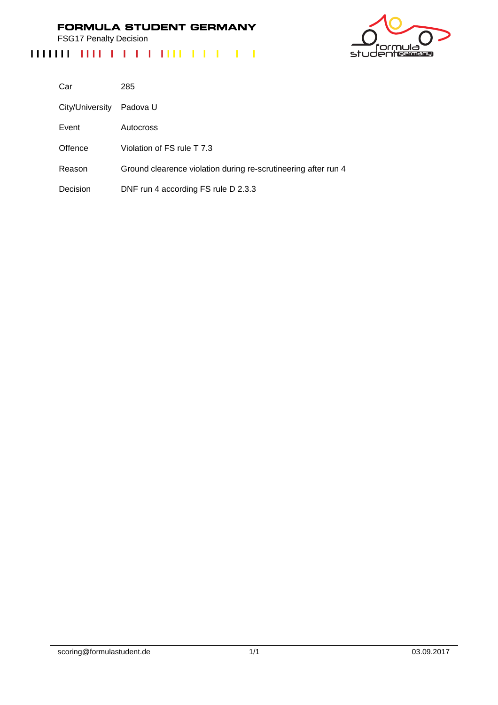FSG17 Penalty Decision

## ەار nı studentermang

| Car             | 285                                                            |
|-----------------|----------------------------------------------------------------|
| City/University | Padova U                                                       |
| Event           | Autocross                                                      |
| Offence         | Violation of FS rule T 7.3                                     |
| Reason          | Ground clearence violation during re-scrutineering after run 4 |
| Decision        | DNF run 4 according FS rule D 2.3.3                            |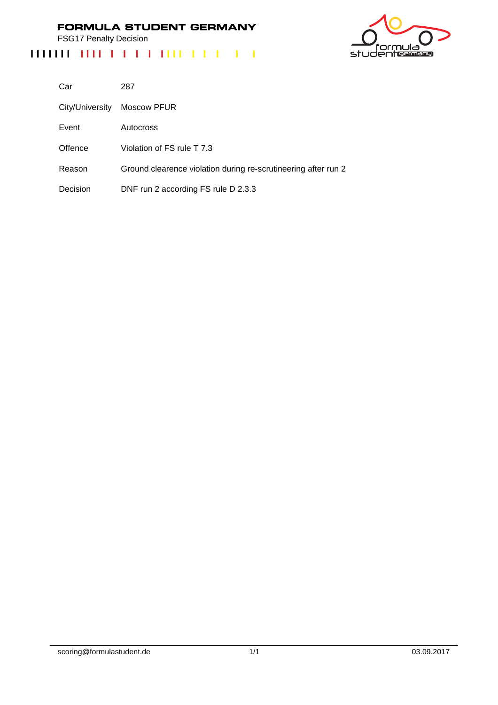FSG17 Penalty Decision



| Car             | 287                                                            |
|-----------------|----------------------------------------------------------------|
| City/University | Moscow PFUR                                                    |
| Event           | Autocross                                                      |
| Offence         | Violation of FS rule T 7.3                                     |
| Reason          | Ground clearence violation during re-scrutineering after run 2 |
| Decision        | DNF run 2 according FS rule D 2.3.3                            |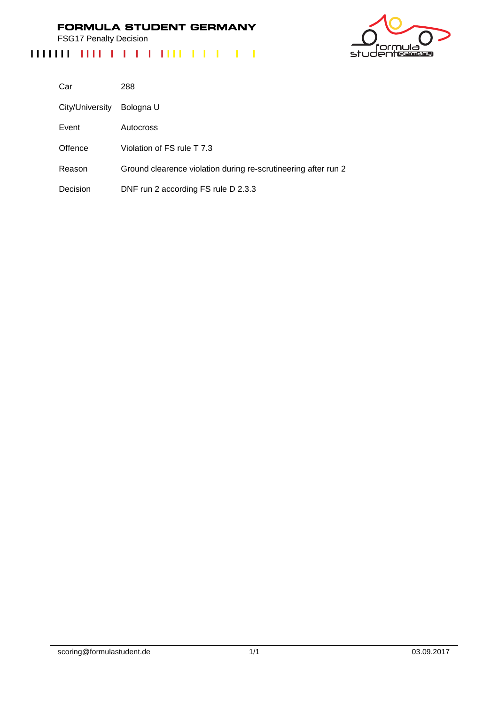FSG17 Penalty Decision

## studentes

| Car             | 288                                                            |
|-----------------|----------------------------------------------------------------|
| City/University | Bologna U                                                      |
| Event           | Autocross                                                      |
| Offence         | Violation of FS rule T 7.3                                     |
| Reason          | Ground clearence violation during re-scrutineering after run 2 |
| Decision        | DNF run 2 according FS rule D 2.3.3                            |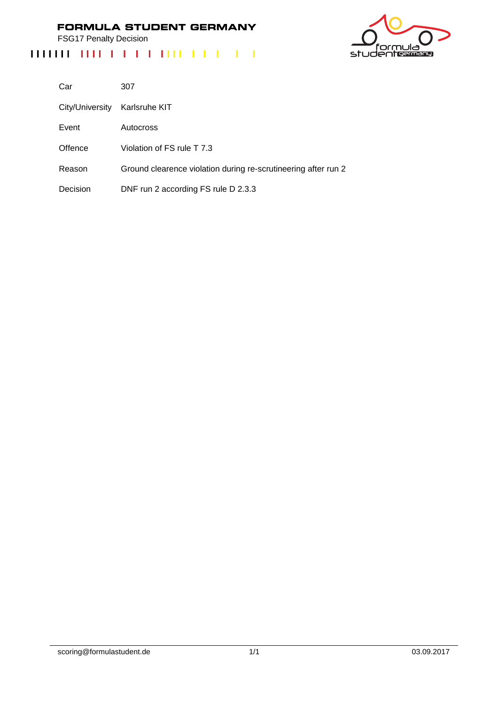FSG17 Penalty Decision

## ەار nı studentermang

| Car             | 307                                                            |
|-----------------|----------------------------------------------------------------|
| City/University | Karlsruhe KIT                                                  |
| Event           | Autocross                                                      |
| Offence         | Violation of FS rule T 7.3                                     |
| Reason          | Ground clearence violation during re-scrutineering after run 2 |
| Decision        | DNF run 2 according FS rule D 2.3.3                            |